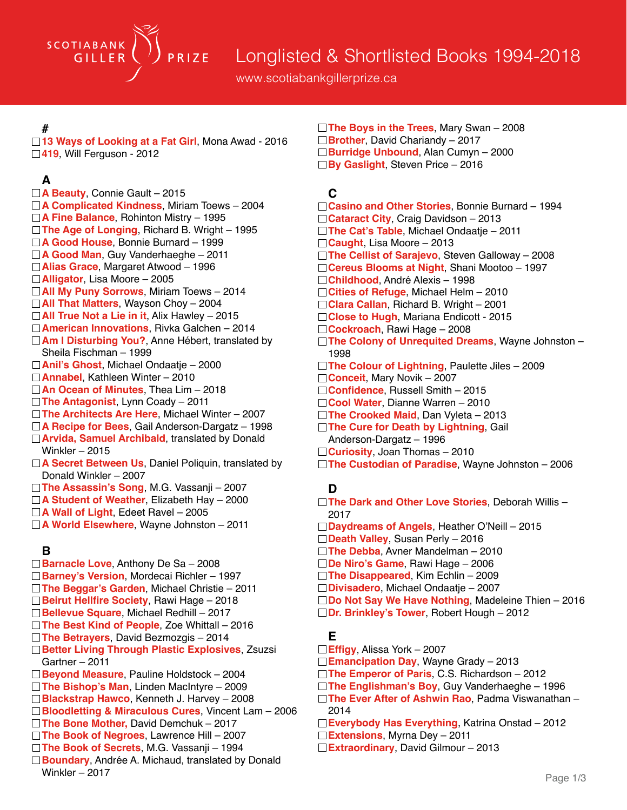

www.scotiabankgillerprize.ca

#### **#**

□13 Ways of Looking at a Fat Girl, Mona Awad - 2016 **419**, Will Ferguson - 2012

## **A**

- **A Beauty**, Connie Gault 2015 **A Complicated Kindness**, Miriam Toews – 2004 **A Fine Balance**, Rohinton Mistry – 1995 **The Age of Longing**, Richard B. Wright – 1995 **A Good House**, Bonnie Burnard – 1999 **A Good Man**, Guy Vanderhaeghe – 2011 **Alias Grace**, Margaret Atwood – 1996 **Alligator**, Lisa Moore – 2005 **All My Puny Sorrows**, Miriam Toews – 2014 **All That Matters**, Wayson Choy – 2004 **All True Not a Lie in it**, Alix Hawley – 2015 **American Innovations**, Rivka Galchen – 2014 □ **Am I Disturbing You?**, Anne Hébert, translated by Sheila Fischman – 1999 **Anil's Ghost**, Michael Ondaatje – 2000 **Annabel**, Kathleen Winter – 2010 **An Ocean of Minutes**, Thea Lim – 2018 **The Antagonist**, Lynn Coady – 2011 **The Architects Are Here**, Michael Winter – 2007 **A Recipe for Bees**, Gail Anderson-Dargatz – 1998 **Arvida, Samuel Archibald**, translated by Donald Winkler – 2015 □ **A Secret Between Us**, Daniel Poliquin, translated by Donald Winkler – 2007 **The Assassin's Song**, M.G. Vassanji – 2007 **A Student of Weather**, Elizabeth Hay – 2000
- **A Wall of Light**, Edeet Ravel 2005
- **A World Elsewhere**, Wayne Johnston 2011

### **B**

- **Barnacle Love**, Anthony De Sa 2008
- **Barney's Version**, Mordecai Richler 1997
- **The Beggar's Garden**, Michael Christie 2011
- **Beirut Hellfire Society**, Rawi Hage 2018
- **Bellevue Square**, Michael Redhill 2017
- **The Best Kind of People**, Zoe Whittall 2016
- **The Betrayers**, David Bezmozgis 2014
- **Better Living Through Plastic Explosives**, Zsuzsi Gartner – 2011
- **Beyond Measure**, Pauline Holdstock 2004
- **The Bishop's Man**, Linden MacIntyre 2009
- **Blackstrap Hawco**, Kenneth J. Harvey 2008
- **Bloodletting & Miraculous Cures**, Vincent Lam 2006
- **The Bone Mother,** David Demchuk 2017
- **The Book of Negroes**, Lawrence Hill 2007
- **The Book of Secrets**, M.G. Vassanji 1994
- **Boundary**, Andrée A. Michaud, translated by Donald Winkler – 2017

**The Boys in the Trees**, Mary Swan – 2008 **Brother**, David Chariandy – 2017 **Burridge Unbound**, Alan Cumyn – 2000 **By Gaslight**, Steven Price – 2016

## **C**

- **Casino and Other Stories**, Bonnie Burnard 1994
- □ **Cataract City**, Craig Davidson 2013
- **The Cat's Table**, Michael Ondaatje 2011
- **Caught**, Lisa Moore 2013
- **The Cellist of Sarajevo**, Steven Galloway 2008
- **Cereus Blooms at Night**, Shani Mootoo 1997
- **Childhood**, André Alexis 1998
- **Cities of Refuge**, Michael Helm 2010
- **Clara Callan**, Richard B. Wright 2001
- □ Close to Hugh, Mariana Endicott 2015
- **Cockroach**, Rawi Hage 2008
- **The Colony of Unrequited Dreams**, Wayne Johnston 1998
- □ The Colour of Lightning, Paulette Jiles 2009
- **Conceit**, Mary Novik 2007
- **Confidence**, Russell Smith 2015
- **Cool Water**, Dianne Warren 2010
- **The Crooked Maid**, Dan Vyleta 2013
- **The Cure for Death by Lightning, Gail** Anderson-Dargatz – 1996
- **Curiosity**, Joan Thomas 2010
- **The Custodian of Paradise**, Wayne Johnston 2006

## **D**

- **The Dark and Other Love Stories**, Deborah Willis 2017
- **Daydreams of Angels**, Heather O'Neill 2015
- **Death Valley**, Susan Perly 2016
- **The Debba**, Avner Mandelman 2010
- **De Niro's Game**, Rawi Hage 2006
- **The Disappeared**, Kim Echlin 2009
- **Divisadero**, Michael Ondaatje 2007
- **Do Not Say We Have Nothing**, Madeleine Thien 2016
- **Dr. Brinkley's Tower**, Robert Hough 2012

# **E**

- **Effigy**, Alissa York 2007
- **Emancipation Day**, Wayne Grady 2013
- **The Emperor of Paris**, C.S. Richardson 2012
- **The Englishman's Boy**, Guy Vanderhaeghe 1996
- **The Ever After of Ashwin Rao**, Padma Viswanathan 2014
- **Everybody Has Everything**, Katrina Onstad 2012
- **Extensions**, Myrna Dey 2011
- **Extraordinary**, David Gilmour 2013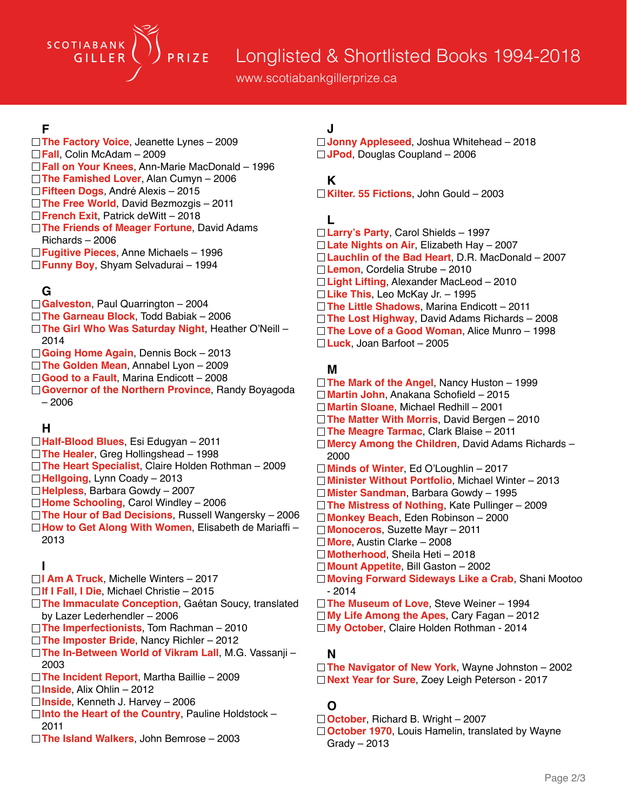# Longlisted & Shortlisted Books 1994-2018

www.scotiabankgillerprize.ca

#### **F**

SCOTIABANK

GILLER

**The Factory Voice**, Jeanette Lynes – 2009 **Fall**, Colin McAdam – 2009 **Fall on Your Knees**, Ann-Marie MacDonald – 1996 **The Famished Lover**, Alan Cumyn – 2006 **Fifteen Dogs**, André Alexis – 2015 **The Free World**, David Bezmozgis – 2011 **French Exit**, Patrick deWitt – 2018 **The Friends of Meager Fortune**, David Adams Richards – 2006

PRIZE

- **Fugitive Pieces**, Anne Michaels 1996
- **Funny Boy**, Shyam Selvadurai 1994

#### **G**

- **Galveston**, Paul Quarrington 2004
- **The Garneau Block**, Todd Babiak 2006
- **The Girl Who Was Saturday Night**, Heather O'Neill 2014
- **Going Home Again**, Dennis Bock 2013
- **The Golden Mean**, Annabel Lyon 2009
- □ Good to a Fault, Marina Endicott 2008
- **Governor of the Northern Province**, Randy Boyagoda – 2006

#### **H**

- **Half-Blood Blues**, Esi Edugyan 2011
- **The Healer**, Greg Hollingshead 1998
- **The Heart Specialist**, Claire Holden Rothman 2009
- **Hellgoing**, Lynn Coady 2013
- **Helpless**, Barbara Gowdy 2007
- **Home Schooling**, Carol Windley 2006
- **The Hour of Bad Decisions**, Russell Wangersky 2006 **How to Get Along With Women**, Elisabeth de Mariaffi –
	- 2013

#### **I**

- **I Am A Truck**, Michelle Winters 2017
- **If I Fall, I Die**, Michael Christie 2015
- **The Immaculate Conception**, Gaétan Soucy, translated by Lazer Lederhendler – 2006
- **The Imperfectionists**, Tom Rachman 2010
- **The Imposter Bride**, Nancy Richler 2012
- □ The In-Between World of Vikram Lall, M.G. Vassanji 2003
- **The Incident Report**, Martha Baillie 2009
- **Inside**, Alix Ohlin 2012
- **Inside**, Kenneth J. Harvey 2006
- **Into the Heart of the Country**, Pauline Holdstock 2011
- **The Island Walkers**, John Bemrose 2003

# **J**

**Jonny Appleseed**, Joshua Whitehead – 2018 **JPod**, Douglas Coupland – 2006

## **K**

**Kilter. 55 Fictions**, John Gould – 2003

## **L**

**Larry's Party**, Carol Shields – 1997 **Late Nights on Air**, Elizabeth Hay – 2007 **Lauchlin of the Bad Heart**, D.R. MacDonald – 2007 **Lemon**, Cordelia Strube – 2010 **Light Lifting**, Alexander MacLeod – 2010 **Like This**, Leo McKay Jr. – 1995 **The Little Shadows**, Marina Endicott – 2011 **The Lost Highway**, David Adams Richards – 2008 **The Love of a Good Woman**, Alice Munro – 1998 **Luck**, Joan Barfoot – 2005

#### **M**

**The Mark of the Angel**, Nancy Huston – 1999 **Martin John**, Anakana Schofield – 2015 **Martin Sloane**, Michael Redhill – 2001 **The Matter With Morris**, David Bergen – 2010 **The Meagre Tarmac**, Clark Blaise – 2011 **Mercy Among the Children**, David Adams Richards – 2000 **Minds of Winter**, Ed O'Loughlin – 2017 **Minister Without Portfolio**, Michael Winter – 2013 **Mister Sandman**, Barbara Gowdy – 1995 **The Mistress of Nothing**, Kate Pullinger – 2009 **Monkey Beach**, Eden Robinson – 2000 **Monoceros**, Suzette Mayr – 2011 **More**, Austin Clarke – 2008 **Motherhood**, Sheila Heti – 2018 **Mount Appetite**, Bill Gaston – 2002 **Moving Forward Sideways Like a Crab**, Shani Mootoo - 2014 **The Museum of Love**, Steve Weiner – 1994 **My Life Among the Apes**, Cary Fagan – 2012 **My October**, Claire Holden Rothman - 2014

### **NN**

**The Navigator of New York**, Wayne Johnston – 2002 **Next Year for Sure**, Zoey Leigh Peterson - 2017

## **O**

- **October**, Richard B. Wright 2007
- □ October 1970, Louis Hamelin, translated by Wayne Grady – 2013